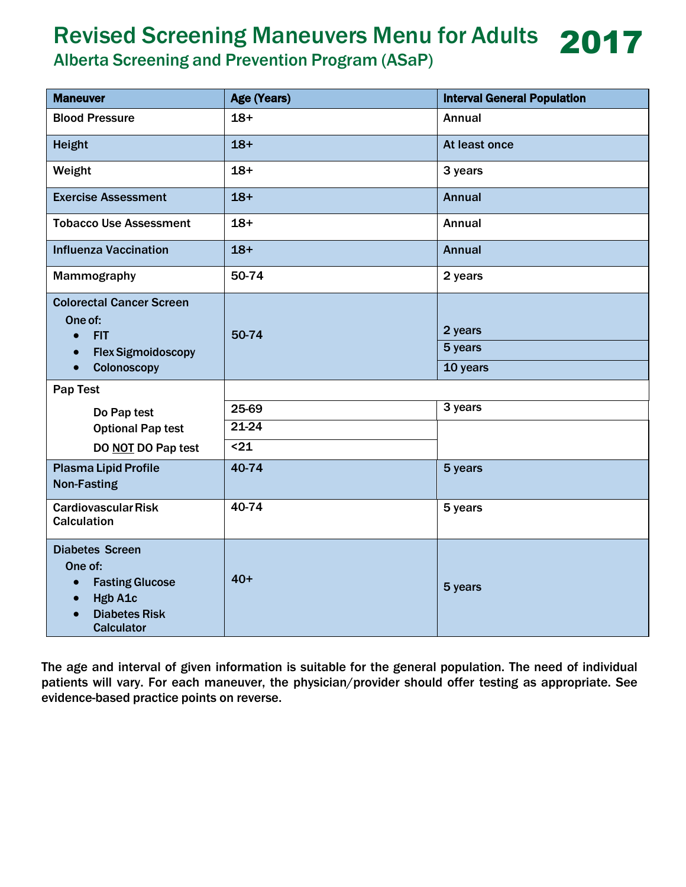## Revised Screening Maneuvers Menu for Adults 2017

Alberta Screening and Prevention Program (ASaP)

| <b>Maneuver</b>                                                                                                                  | Age (Years) | <b>Interval General Population</b> |
|----------------------------------------------------------------------------------------------------------------------------------|-------------|------------------------------------|
| <b>Blood Pressure</b>                                                                                                            | $18+$       | <b>Annual</b>                      |
| <b>Height</b>                                                                                                                    | $18+$       | At least once                      |
| Weight                                                                                                                           | $18+$       | 3 years                            |
| <b>Exercise Assessment</b>                                                                                                       | $18+$       | <b>Annual</b>                      |
| <b>Tobacco Use Assessment</b>                                                                                                    | $18+$       | <b>Annual</b>                      |
| <b>Influenza Vaccination</b>                                                                                                     | $18+$       | <b>Annual</b>                      |
| Mammography                                                                                                                      | 50-74       | 2 years                            |
| <b>Colorectal Cancer Screen</b><br>One of:<br><b>FIT</b><br>$\bullet$<br><b>Flex Sigmoidoscopy</b><br>$\bullet$<br>Colonoscopy   | 50-74       | 2 years<br>5 years<br>10 years     |
| Pap Test                                                                                                                         |             |                                    |
| Do Pap test                                                                                                                      | 25-69       | 3 years                            |
| <b>Optional Pap test</b>                                                                                                         | $21 - 24$   |                                    |
| DO NOT DO Pap test                                                                                                               | $21$        |                                    |
| <b>Plasma Lipid Profile</b><br><b>Non-Fasting</b>                                                                                | 40-74       | 5 years                            |
| <b>Cardiovascular Risk</b><br><b>Calculation</b>                                                                                 | 40-74       | 5 years                            |
| <b>Diabetes Screen</b><br>One of:<br><b>Fasting Glucose</b><br>$\bullet$<br>Hgb A1c<br><b>Diabetes Risk</b><br><b>Calculator</b> | $40+$       | 5 years                            |

The age and interval of given information is suitable for the general population. The need of individual patients will vary. For each maneuver, the physician/provider should offer testing as appropriate. See evidence-based practice points on reverse.